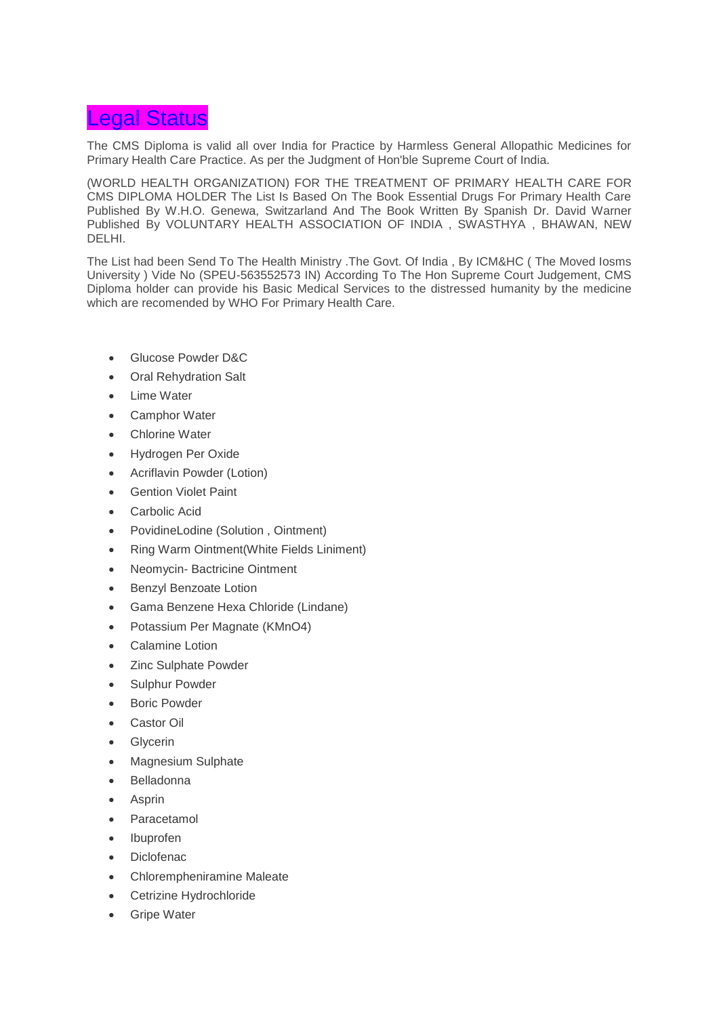## Legal Status

The CMS Diploma is valid all over India for Practice by Harmless General Allopathic Medicines for Primary Health Care Practice. As per the Judgment of Hon'ble Supreme Court of India.

(WORLD HEALTH ORGANIZATION) FOR THE TREATMENT OF PRIMARY HEALTH CARE FOR CMS DIPLOMA HOLDER The List Is Based On The Book Essential Drugs For Primary Health Care Published By W.H.O. Genewa, Switzarland And The Book Written By Spanish Dr. David Warner Published By VOLUNTARY HEALTH ASSOCIATION OF INDIA , SWASTHYA , BHAWAN, NEW DELHI.

The List had been Send To The Health Ministry .The Govt. Of India , By ICM&HC ( The Moved Iosms University ) Vide No (SPEU-563552573 IN) According To The Hon Supreme Court Judgement, CMS Diploma holder can provide his Basic Medical Services to the distressed humanity by the medicine which are recomended by WHO For Primary Health Care.

- Glucose Powder D&C
- Oral Rehydration Salt
- **Lime Water**
- Camphor Water
- Chlorine Water
- Hydrogen Per Oxide
- Acriflavin Powder (Lotion)
- Gention Violet Paint
- Carbolic Acid
- PovidineLodine (Solution , Ointment)
- Ring Warm Ointment(White Fields Liniment)
- Neomycin- Bactricine Ointment
- Benzyl Benzoate Lotion
- Gama Benzene Hexa Chloride (Lindane)
- Potassium Per Magnate (KMnO4)
- Calamine Lotion
- Zinc Sulphate Powder
- Sulphur Powder
- Boric Powder
- Castor Oil
- Glycerin
- Magnesium Sulphate
- Belladonna
- **Asprin**
- **Paracetamol**
- Ibuprofen
- Diclofenac
- Chlorempheniramine Maleate
- Cetrizine Hydrochloride
- Gripe Water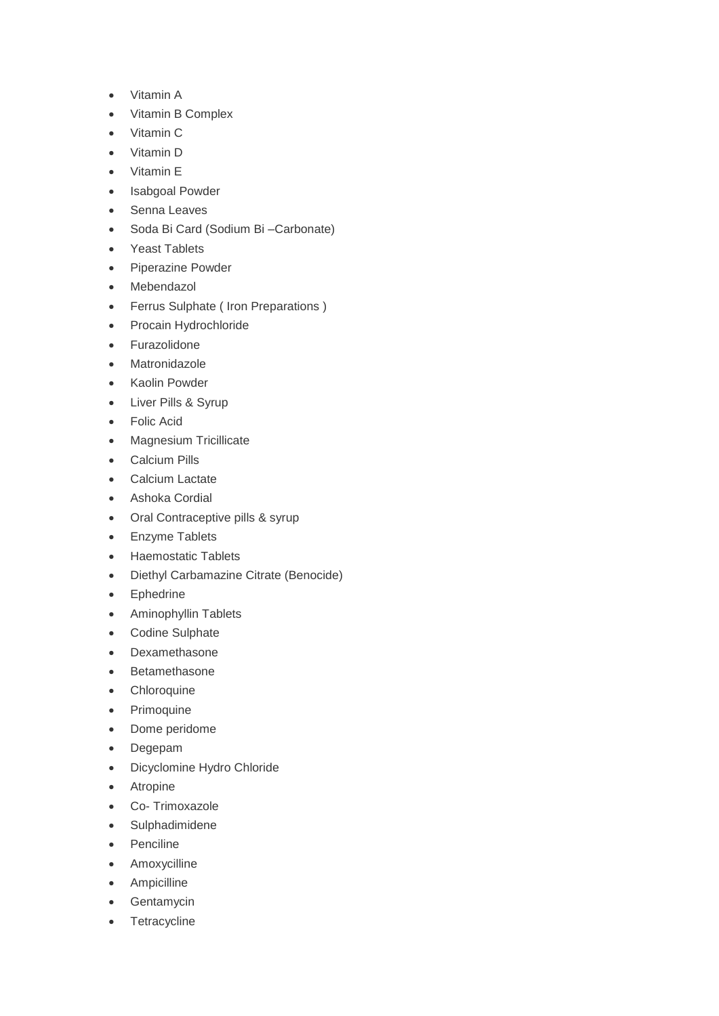- Vitamin A
- Vitamin B Complex
- Vitamin C
- Vitamin D
- Vitamin E
- Isabgoal Powder
- Senna Leaves
- Soda Bi Card (Sodium Bi –Carbonate)
- Yeast Tablets
- Piperazine Powder
- Mebendazol
- Ferrus Sulphate ( Iron Preparations )
- Procain Hydrochloride
- Furazolidone
- Matronidazole
- Kaolin Powder
- Liver Pills & Syrup
- Folic Acid
- Magnesium Tricillicate
- Calcium Pills
- Calcium Lactate
- Ashoka Cordial
- Oral Contraceptive pills & syrup
- Enzyme Tablets
- Haemostatic Tablets
- Diethyl Carbamazine Citrate (Benocide)
- Ephedrine
- Aminophyllin Tablets
- Codine Sulphate
- Dexamethasone
- Betamethasone
- Chloroquine
- Primoquine
- Dome peridome
- Degepam
- Dicyclomine Hydro Chloride
- Atropine
- Co- Trimoxazole
- Sulphadimidene
- Penciline
- Amoxycilline
- Ampicilline
- Gentamycin
- Tetracycline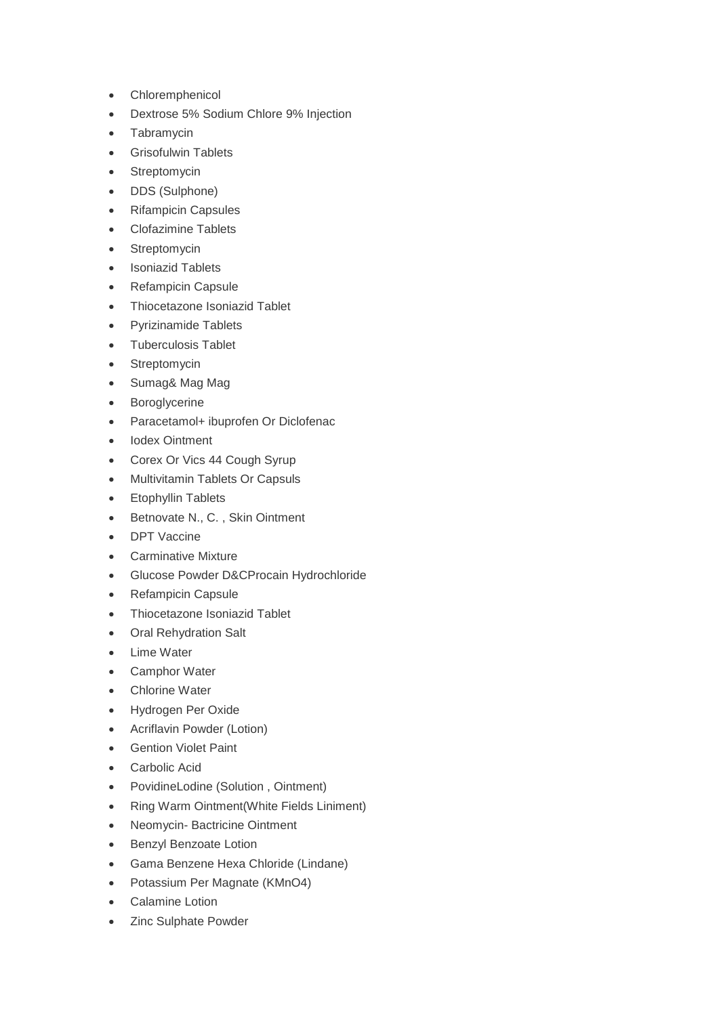- Chloremphenicol
- Dextrose 5% Sodium Chlore 9% Injection
- Tabramycin
- Grisofulwin Tablets
- Streptomycin
- DDS (Sulphone)
- Rifampicin Capsules
- Clofazimine Tablets
- Streptomycin
- Isoniazid Tablets
- Refampicin Capsule
- Thiocetazone Isoniazid Tablet
- Pyrizinamide Tablets
- Tuberculosis Tablet
- Streptomycin
- Sumag& Mag Mag
- Boroglycerine
- Paracetamol+ ibuprofen Or Diclofenac
- Iodex Ointment
- Corex Or Vics 44 Cough Syrup
- Multivitamin Tablets Or Capsuls
- Etophyllin Tablets
- Betnovate N., C. , Skin Ointment
- DPT Vaccine
- Carminative Mixture
- Glucose Powder D&CProcain Hydrochloride
- Refampicin Capsule
- Thiocetazone Isoniazid Tablet
- Oral Rehydration Salt
- Lime Water
- Camphor Water
- Chlorine Water
- Hydrogen Per Oxide
- Acriflavin Powder (Lotion)
- Gention Violet Paint
- Carbolic Acid
- PovidineLodine (Solution , Ointment)
- Ring Warm Ointment(White Fields Liniment)
- Neomycin- Bactricine Ointment
- Benzyl Benzoate Lotion
- Gama Benzene Hexa Chloride (Lindane)
- Potassium Per Magnate (KMnO4)
- Calamine Lotion
- Zinc Sulphate Powder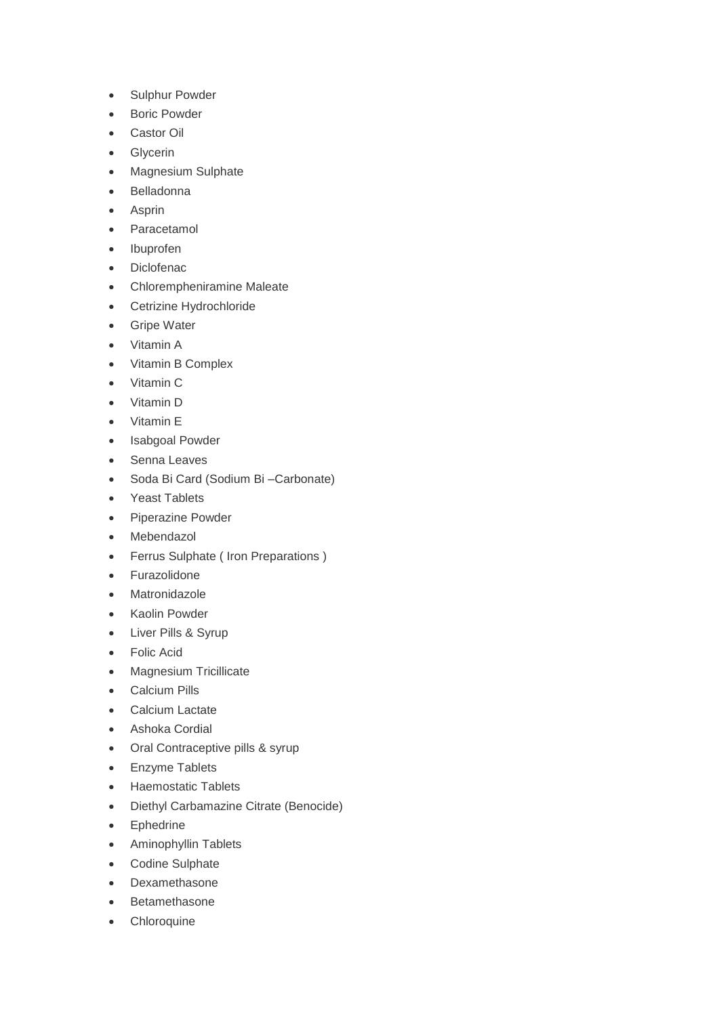- Sulphur Powder
- Boric Powder
- Castor Oil
- Glycerin
- Magnesium Sulphate
- Belladonna
- Asprin
- Paracetamol
- Ibuprofen
- Diclofenac
- Chlorempheniramine Maleate
- Cetrizine Hydrochloride
- Gripe Water
- Vitamin A
- Vitamin B Complex
- Vitamin C
- Vitamin D
- Vitamin E
- Isabgoal Powder
- Senna Leaves
- Soda Bi Card (Sodium Bi –Carbonate)
- Yeast Tablets
- Piperazine Powder
- Mebendazol
- Ferrus Sulphate ( Iron Preparations )
- Furazolidone
- Matronidazole
- Kaolin Powder
- Liver Pills & Syrup
- Folic Acid
- Magnesium Tricillicate
- Calcium Pills
- Calcium Lactate
- Ashoka Cordial
- Oral Contraceptive pills & syrup
- Enzyme Tablets
- Haemostatic Tablets
- Diethyl Carbamazine Citrate (Benocide)
- Ephedrine
- Aminophyllin Tablets
- Codine Sulphate
- Dexamethasone
- Betamethasone
- Chloroquine